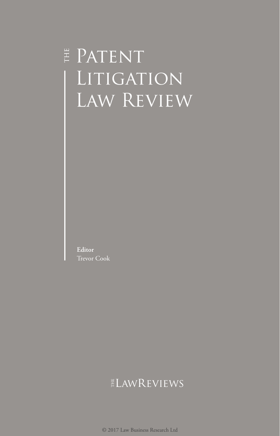# E PATENT LITIGATION Law Review

**Editor** Trevor Cook

# ELAWREVIEWS

© 2017 Law Business Research Ltd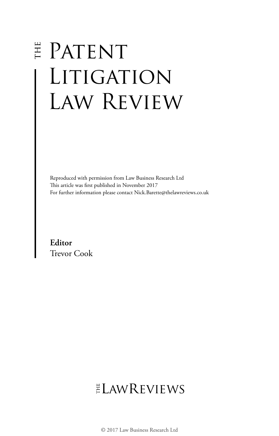# E PATENT LITIGATION Law Review

Reproduced with permission from Law Business Research Ltd This article was first published in November 2017 For further information please contact Nick.Barette@thelawreviews.co.uk

**Editor** Trevor Cook

# **ELAWREVIEWS**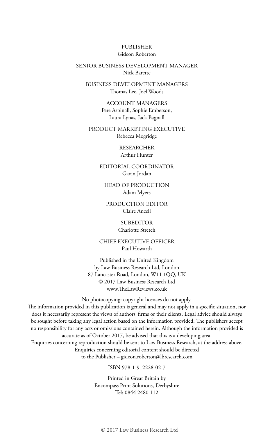#### PUBLISHER Gideon Roberton

#### SENIOR BUSINESS DEVELOPMENT MANAGER Nick Barette

BUSINESS DEVELOPMENT MANAGERS Thomas Lee, Joel Woods

> ACCOUNT MANAGERS Pere Aspinall, Sophie Emberson, Laura Lynas, Jack Bagnall

PRODUCT MARKETING EXECUTIVE Rebecca Mogridge

> RESEARCHER Arthur Hunter

EDITORIAL COORDINATOR Gavin Jordan

HEAD OF PRODUCTION Adam Myers

PRODUCTION EDITOR Claire Ancell

> SUBEDITOR Charlotte Stretch

CHIEF EXECUTIVE OFFICER Paul Howarth

Published in the United Kingdom by Law Business Research Ltd, London 87 Lancaster Road, London, W11 1QQ, UK © 2017 Law Business Research Ltd www.TheLawReviews.co.uk

No photocopying: copyright licences do not apply.

The information provided in this publication is general and may not apply in a specific situation, nor does it necessarily represent the views of authors' firms or their clients. Legal advice should always be sought before taking any legal action based on the information provided. The publishers accept no responsibility for any acts or omissions contained herein. Although the information provided is accurate as of October 2017, be advised that this is a developing area.

Enquiries concerning reproduction should be sent to Law Business Research, at the address above. Enquiries concerning editorial content should be directed to the Publisher – gideon.roberton@lbresearch.com

#### ISBN 978-1-912228-02-7

Printed in Great Britain by Encompass Print Solutions, Derbyshire Tel: 0844 2480 112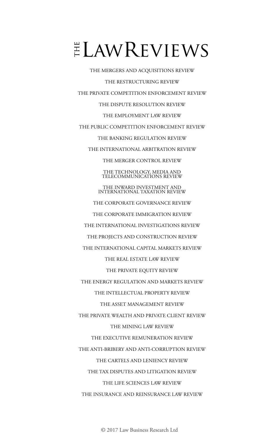# $E$ LAWREVIEWS

THE MERGERS AND ACQUISITIONS REVIEW THE RESTRUCTURING REVIEW THE PRIVATE COMPETITION ENFORCEMENT REVIEW THE DISPUTE RESOLUTION REVIEW THE EMPLOYMENT LAW REVIEW THE PUBLIC COMPETITION ENFORCEMENT REVIEW THE BANKING REGULATION REVIEW THE INTERNATIONAL ARBITRATION REVIEW THE MERGER CONTROL REVIEW THE TECHNOLOGY, MEDIA AND TELECOMMUNICATIONS REVIEW THE INWARD INVESTMENT AND INTERNATIONAL TAXATION REVIEW THE CORPORATE GOVERNANCE REVIEW THE CORPORATE IMMIGRATION REVIEW THE INTERNATIONAL INVESTIGATIONS REVIEW THE PROJECTS AND CONSTRUCTION REVIEW THE INTERNATIONAL CAPITAL MARKETS REVIEW THE REAL ESTATE LAW REVIEW THE PRIVATE EQUITY REVIEW THE ENERGY REGULATION AND MARKETS REVIEW THE INTELLECTUAL PROPERTY REVIEW THE ASSET MANAGEMENT REVIEW THE PRIVATE WEALTH AND PRIVATE CLIENT REVIEW THE MINING LAW REVIEW THE EXECUTIVE REMUNERATION REVIEW THE ANTI-BRIBERY AND ANTI-CORRUPTION REVIEW THE CARTELS AND LENIENCY REVIEW THE TAX DISPUTES AND LITIGATION REVIEW THE LIFE SCIENCES LAW REVIEW THE INSURANCE AND REINSURANCE LAW REVIEW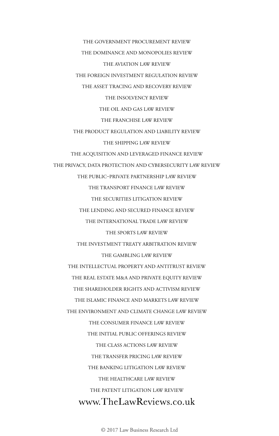THE GOVERNMENT PROCUREMENT REVIEW THE DOMINANCE AND MONOPOLIES REVIEW THE AVIATION LAW REVIEW THE FOREIGN INVESTMENT REGULATION REVIEW THE ASSET TRACING AND RECOVERY REVIEW THE INSOLVENCY REVIEW THE OIL AND GAS LAW REVIEW THE FRANCHISE LAW REVIEW THE PRODUCT REGULATION AND LIABILITY REVIEW THE SHIPPING LAW REVIEW THE ACQUISITION AND LEVERAGED FINANCE REVIEW THE PRIVACY, DATA PROTECTION AND CYBERSECURITY LAW REVIEW THE PUBLIC–PRIVATE PARTNERSHIP LAW REVIEW THE TRANSPORT FINANCE LAW REVIEW THE SECURITIES LITIGATION REVIEW THE LENDING AND SECURED FINANCE REVIEW THE INTERNATIONAL TRADE LAW REVIEW THE SPORTS LAW REVIEW THE INVESTMENT TREATY ARBITRATION REVIEW THE GAMBLING LAW REVIEW THE INTELLECTUAL PROPERTY AND ANTITRUST REVIEW THE REAL ESTATE M&A AND PRIVATE EQUITY REVIEW THE SHAREHOLDER RIGHTS AND ACTIVISM REVIEW THE ISLAMIC FINANCE AND MARKETS LAW REVIEW THE ENVIRONMENT AND CLIMATE CHANGE LAW REVIEW THE CONSUMER FINANCE LAW REVIEW THE INITIAL PUBLIC OFFERINGS REVIEW THE CLASS ACTIONS LAW REVIEW THE TRANSFER PRICING LAW REVIEW THE BANKING LITIGATION LAW REVIEW THE HEALTHCARE LAW REVIEW THE PATENT LITIGATION LAW REVIEW www.TheLawReviews.co.uk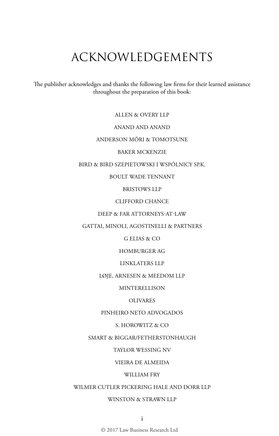# ACKNOWLEDGEMENTS

The publisher acknowledges and thanks the following law firms for their learned assistance throughout the preparation of this book:

ALLEN & OVERY LLP

# ANAND AND ANAND

# ANDERSON MŌRI & TOMOTSUNE

## BAKER MCKENZIE

### BIRD & BIRD SZEPIETOWSKI I WSPÓLNICY SP.K.

# BOULT WADE TENNANT

# BRISTOWS LLP

# CLIFFORD CHANCE

# DEEP & FAR ATTORNEYS-AT-LAW

# GATTAI, MINOLI, AGOSTINELLI & PARTNERS

# G ELIAS & CO

# HOMBURGER AG

### LINKLATERS LLP

#### LØJE, ARNESEN & MEEDOM LLP

#### **MINTERELLISON**

# OLIVARES

#### PINHEIRO NETO ADVOGADOS

#### S. HOROWITZ & CO

# SMART & BIGGAR/FETHERSTONHAUGH

### TAYLOR WESSING NV

# VIEIRA DE ALMEIDA

# WILLIAM FRY

### WILMER CUTLER PICKERING HALE AND DORR LLP

# WINSTON & STRAWN LLP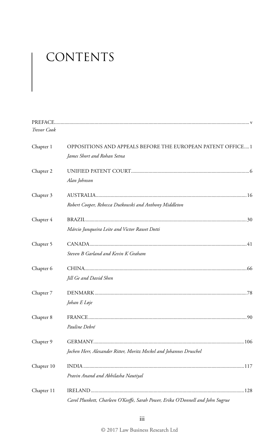# CONTENTS

| <b>Trevor Cook</b> |                                                                                 |  |
|--------------------|---------------------------------------------------------------------------------|--|
| Chapter 1          | OPPOSITIONS AND APPEALS BEFORE THE EUROPEAN PATENT OFFICE1                      |  |
|                    | James Short and Rohan Setna                                                     |  |
| Chapter 2          |                                                                                 |  |
|                    | Alan Johnson                                                                    |  |
| Chapter 3          |                                                                                 |  |
|                    | Robert Cooper, Rebecca Dutkowski and Anthony Middleton                          |  |
| Chapter 4          |                                                                                 |  |
|                    | Márcio Junqueira Leite and Victor Rawet Dotti                                   |  |
| Chapter 5          |                                                                                 |  |
|                    | Steven B Garland and Kevin K Graham                                             |  |
| Chapter 6          |                                                                                 |  |
|                    | Jill Ge and David Shen                                                          |  |
| Chapter 7          |                                                                                 |  |
|                    | Johan E Løje                                                                    |  |
| Chapter 8          |                                                                                 |  |
|                    | Pauline Debré                                                                   |  |
| Chapter 9          |                                                                                 |  |
|                    | Jochen Herr, Alexander Ritter, Moritz Meckel and Johannes Druschel              |  |
| Chapter 10         |                                                                                 |  |
|                    | Pravin Anand and Abhilasha Nautiyal                                             |  |
| Chapter 11         |                                                                                 |  |
|                    | Carol Plunkett, Charleen O'Keeffe, Sarah Power, Erika O'Donnell and John Sugrue |  |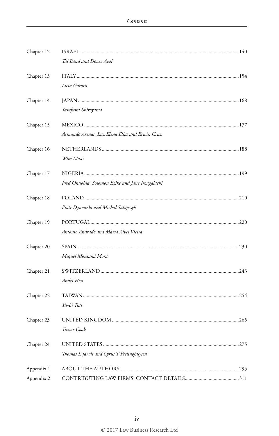| Chapter 12 |                                                  |  |
|------------|--------------------------------------------------|--|
|            | Tal Band and Dovev Apel                          |  |
| Chapter 13 |                                                  |  |
|            | Licia Garotti                                    |  |
| Chapter 14 |                                                  |  |
|            | Yasufumi Shiroyama                               |  |
| Chapter 15 |                                                  |  |
|            | Armando Arenas, Luz Elena Elías and Erwin Cruz   |  |
| Chapter 16 |                                                  |  |
|            | Wim Maas                                         |  |
| Chapter 17 |                                                  |  |
|            | Fred Onuobia, Solomon Ezike and Jane Iroagalachi |  |
| Chapter 18 |                                                  |  |
|            | Piotr Dynowski and Michał Sałajczyk              |  |
| Chapter 19 |                                                  |  |
|            | António Andrade and Marta Alves Vieira           |  |
| Chapter 20 |                                                  |  |
|            | Miquel Montañá Mora                              |  |
| Chapter 21 |                                                  |  |
|            | Andri Hess                                       |  |
| Chapter 22 |                                                  |  |
|            | Yu-Li Tsai                                       |  |
| Chapter 23 |                                                  |  |
|            | Trevor Cook                                      |  |
| Chapter 24 |                                                  |  |
|            | Thomas L Jarvis and Cyrus T Frelinghuysen        |  |
| Appendix 1 |                                                  |  |
| Appendix 2 |                                                  |  |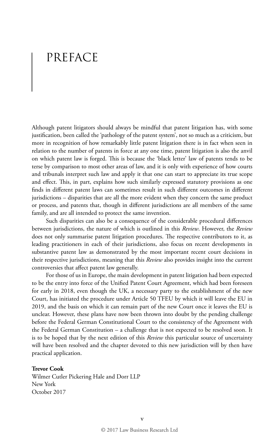# PREFACE

Although patent litigators should always be mindful that patent litigation has, with some justification, been called the 'pathology of the patent system', not so much as a criticism, but more in recognition of how remarkably little patent litigation there is in fact when seen in relation to the number of patents in force at any one time, patent litigation is also the anvil on which patent law is forged. This is because the 'black letter' law of patents tends to be terse by comparison to most other areas of law, and it is only with experience of how courts and tribunals interpret such law and apply it that one can start to appreciate its true scope and effect. This, in part, explains how such similarly expressed statutory provisions as one finds in different patent laws can sometimes result in such different outcomes in different jurisdictions – disparities that are all the more evident when they concern the same product or process, and patents that, though in different jurisdictions are all members of the same family, and are all intended to protect the same invention.

Such disparities can also be a consequence of the considerable procedural differences between jurisdictions, the nature of which is outlined in this *Review*. However, the *Review* does not only summarise patent litigation procedures. The respective contributors to it, as leading practitioners in each of their jurisdictions, also focus on recent developments in substantive patent law as demonstrated by the most important recent court decisions in their respective jurisdictions, meaning that this *Review* also provides insight into the current controversies that affect patent law generally.

For those of us in Europe, the main development in patent litigation had been expected to be the entry into force of the Unified Patent Court Agreement, which had been foreseen for early in 2018, even though the UK, a necessary party to the establishment of the new Court, has initiated the procedure under Article 50 TFEU by which it will leave the EU in 2019, and the basis on which it can remain part of the new Court once it leaves the EU is unclear. However, these plans have now been thrown into doubt by the pending challenge before the Federal German Constitutional Court to the consistency of the Agreement with the Federal German Constitution – a challenge that is not expected to be resolved soon. It is to be hoped that by the next edition of this *Review* this particular source of uncertainty will have been resolved and the chapter devoted to this new jurisdiction will by then have practical application.

#### **Trevor Cook**

Wilmer Cutler Pickering Hale and Dorr LLP New York October 2017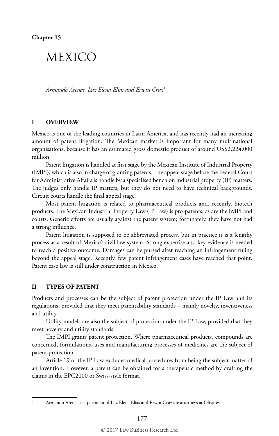# MEXICO

*Armando Arenas, Luz Elena Elías and Erwin Cruz*<sup>1</sup>

# **I OVERVIEW**

Mexico is one of the leading countries in Latin America, and has recently had an increasing amount of patent litigation. The Mexican market is important for many multinational organisations, because it has an estimated gross domestic product of around US\$2,224,000 million.

Patent litigation is handled at first stage by the Mexican Institute of Industrial Property (IMPI), which is also in charge of granting patents. The appeal stage before the Federal Court for Administrative Affairs is handle by a specialised bench on industrial property (IP) matters. The judges only handle IP matters, but they do not need to have technical backgrounds. Circuit courts handle the final appeal stage.

Most patent litigation is related to pharmaceutical products and, recently, biotech products. The Mexican Industrial Property Law (IP Law) is pro-patents, as are the IMPI and courts. Generic efforts are usually against the patent system; fortunately, they have not had a strong influence.

Patent litigation is supposed to be abbreviated process, but in practice it is a lengthy process as a result of Mexico's civil law system. Strong expertise and key evidence is needed to reach a positive outcome. Damages can be pursed after reaching an infringement ruling beyond the appeal stage. Recently, few patent infringement cases have reached that point. Patent case law is still under construction in Mexico.

## **II TYPES OF PATENT**

Products and processes can be the subject of patent protection under the IP Law and its regulations, provided that they meet patentability standards – mainly novelty, inventiveness and utility.

Utility models are also the subject of protection under the IP Law, provided that they meet novelty and utility standards.

The IMPI grants patent protection. Where pharmaceutical products, compounds are concerned, formulations, uses and manufacturing processes of medicines are the subject of patent protection.

Article 19 of the IP Law excludes medical procedures from being the subject matter of an invention. However, a patent can be obtained for a therapeutic method by drafting the claims in the EPC2000 or Swiss-style format.

<sup>1</sup> Armando Arenas is a partner and Luz Elena Elías and Erwin Cruz are attorneys at Olivares.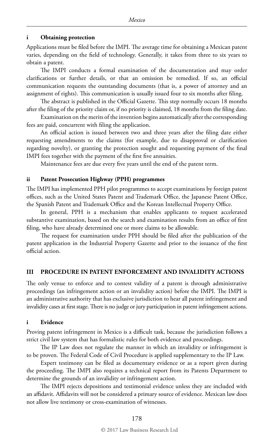#### **i Obtaining protection**

Applications must be filed before the IMPI. The average time for obtaining a Mexican patent varies, depending on the field of technology. Generally, it takes from three to six years to obtain a patent.

The IMPI conducts a formal examination of the documentation and may order clarifications or further details, or that an omission be remedied. If so, an official communication requests the outstanding documents (that is, a power of attorney and an assignment of rights). This communication is usually issued four to six months after filing.

The abstract is published in the Official Gazette. This step normally occurs 18 months after the filing of the priority claim or, if no priority is claimed, 18 months from the filing date.

Examination on the merits of the invention begins automatically after the corresponding fees are paid, concurrent with filing the application.

An official action is issued between two and three years after the filing date either requesting amendments to the claims (for example, due to disapproval or clarification regarding novelty), or granting the protection sought and requesting payment of the final IMPI fees together with the payment of the first five annuities.

Maintenance fees are due every five years until the end of the patent term.

#### **ii Patent Prosecution Highway (PPH) programmes**

The IMPI has implemented PPH pilot programmes to accept examinations by foreign patent offices, such as the United States Patent and Trademark Office, the Japanese Patent Office, the Spanish Patent and Trademark Office and the Korean Intellectual Property Office.

In general, PPH is a mechanism that enables applicants to request accelerated substantive examination, based on the search and examination results from an office of first filing, who have already determined one or more claims to be allowable.

The request for examination under PPH should be filed after the publication of the patent application in the Industrial Property Gazette and prior to the issuance of the first official action.

#### **III PROCEDURE IN PATENT ENFORCEMENT AND INVALIDITY ACTIONS**

The only venue to enforce and to contest validity of a patent is through administrative proceedings (an infringement action or an invalidity action) before the IMPI. The IMPI is an administrative authority that has exclusive jurisdiction to hear all patent infringement and invalidity cases at first stage. There is no judge or jury participation in patent infringement actions.

#### **i Evidence**

Proving patent infringement in Mexico is a difficult task, because the jurisdiction follows a strict civil law system that has formalistic rules for both evidence and proceedings.

The IP Law does not regulate the manner in which an invalidity or infringement is to be proven. The Federal Code of Civil Procedure is applied supplementary to the IP Law.

Expert testimony can be filed as documentary evidence or as a report given during the proceeding. The IMPI also requires a technical report from its Patents Department to determine the grounds of an invalidity or infringement action.

The IMPI rejects depositions and testimonial evidence unless they are included with an affidavit. Affidavits will not be considered a primary source of evidence. Mexican law does not allow live testimony or cross-examination of witnesses.

#### © 2017 Law Business Research Ltd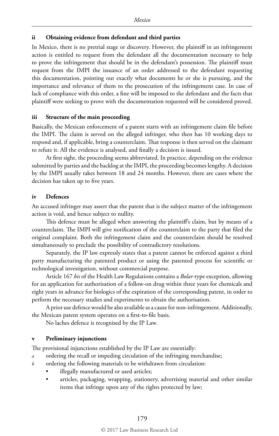#### **ii Obtaining evidence from defendant and third parties**

In Mexico, there is no pretrial stage or discovery. However, the plaintiff in an infringement action is entitled to request from the defendant all the documentation necessary to help to prove the infringement that should be in the defendant's possession. The plaintiff must request from the IMPI the issuance of an order addressed to the defendant requesting this documentation, pointing out exactly what documents he or she is pursuing, and the importance and relevance of them to the prosecution of the infringement case. In case of lack of compliance with this order, a fine will be imposed to the defendant and the facts that plaintiff were seeking to prove with the documentation requested will be considered proved.

#### **iii Structure of the main proceeding**

Basically, the Mexican enforcement of a patent starts with an infringement claim file before the IMPI. The claim is served on the alleged infringer, who then has 10 working days to respond and, if applicable, bring a counterclaim. That response is then served on the claimant to refute it. All the evidence is analysed, and finally a decision is issued.

At first sight, the proceeding seems abbreviated. In practice, depending on the evidence submitted by parties and the backlog at the IMPI, the proceeding becomes lengthy. A decision by the IMPI usually takes between 18 and 24 months. However, there are cases where the decision has taken up to five years.

## **iv Defences**

An accused infringer may assert that the patent that is the subject matter of the infringement action is void, and hence subject to nullity.

This defence must be alleged when answering the plaintiff's claim, but by means of a counterclaim. The IMPI will give notification of the counterclaim to the party that filed the original complaint. Both the infringement claim and the counterclaim should be resolved simultaneously to preclude the possibility of contradictory resolutions.

Separately, the IP law expressly states that a patent cannot be enforced against a third party manufacturing the patented product or using the patented process for scientific or technological investigation, without commercial purpose.

Article 167 *bis* of the Health Law Regulations contains a *Bolar*-type exception, allowing for an application for authorisation of a follow-on drug within three years for chemicals and eight years in advance for biologics of the expiration of the corresponding patent, in order to perform the necessary studies and experiments to obtain the authorisation.

A prior use defence would be also available as a cause for non-infringement. Additionally, the Mexican patent system operates on a first-to-file basis.

No laches defence is recognised by the IP Law.

#### **v Preliminary injunctions**

The provisional injunctions established by the IP Law are essentially:

- *a* ordering the recall or impeding circulation of the infringing merchandise;
- *b* ordering the following materials to be withdrawn from circulation:
	- illegally manufactured or used articles;
	- articles, packaging, wrapping, stationery, advertising material and other similar items that infringe upon any of the rights protected by law;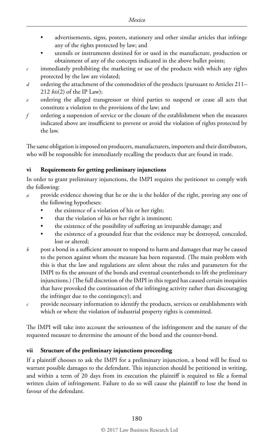- advertisements, signs, posters, stationery and other similar articles that infringe any of the rights protected by law; and
- utensils or instruments destined for or used in the manufacture, production or obtainment of any of the concepts indicated in the above bullet points;
- *c* immediately prohibiting the marketing or use of the products with which any rights protected by the law are violated;
- *d* ordering the attachment of the commodities of the products (pursuant to Articles 211– 212 *bis*(2) of the IP Law);
- *e* ordering the alleged transgressor or third parties to suspend or cease all acts that constitute a violation to the provisions of the law; and
- *f* ordering a suspension of service or the closure of the establishment when the measures indicated above are insufficient to prevent or avoid the violation of rights protected by the law.

The same obligation is imposed on producers, manufacturers, importers and their distributors, who will be responsible for immediately recalling the products that are found in trade.

# **vi Requirements for getting preliminary injunctions**

In order to grant preliminary injunctions, the IMPI requires the petitioner to comply with the following:

- *a* provide evidence showing that he or she is the holder of the right, proving any one of the following hypotheses:
	- the existence of a violation of his or her right;
	- that the violation of his or her right is imminent;
	- the existence of the possibility of suffering an irreparable damage; and
	- the existence of a grounded fear that the evidence may be destroyed, concealed, lost or altered;
- *b* post a bond in a sufficient amount to respond to harm and damages that may be caused to the person against whom the measure has been requested. (The main problem with this is that the law and regulations are silent about the rules and parameters for the IMPI to fix the amount of the bonds and eventual counterbonds to lift the preliminary injunctions.) (The full discretion of the IMPI in this regard has caused certain inequities that have provoked the continuation of the infringing activity rather than discouraging the infringer due to the contingency); and
- *c* provide necessary information to identify the products, services or establishments with which or where the violation of industrial property rights is committed.

The IMPI will take into account the seriousness of the infringement and the nature of the requested measure to determine the amount of the bond and the counter-bond.

# **vii Structure of the preliminary injunctions proceeding**

If a plaintiff chooses to ask the IMPI for a preliminary injunction, a bond will be fixed to warrant possible damages to the defendant. This injunction should be petitioned in writing, and within a term of 20 days from its execution the plaintiff is required to file a formal written claim of infringement. Failure to do so will cause the plaintiff to lose the bond in favour of the defendant.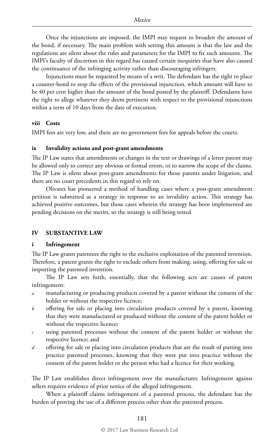Once the injunctions are imposed, the IMPI may request to broaden the amount of the bond, if necessary. The main problem with setting this amount is that the law and the regulations are silent about the rules and parameters for the IMPI to fix such amounts. The IMPI's faculty of discretion in this regard has caused certain inequities that have also caused the continuance of the infringing activity rather than discouraging infringers.

Injunctions must be requested by means of a writ. The defendant has the right to place a counter-bond to stop the effects of the provisional injunction, which amount will have to be 40 per cent higher than the amount of the bond posted by the plaintiff. Defendants have the right to allege whatever they deem pertinent with respect to the provisional injunctions within a term of 10 days from the date of execution.

#### **viii Costs**

IMPI fees are very low, and there are no government fees for appeals before the courts.

## **ix Invalidity actions and post-grant amendments**

The IP Law states that amendments or changes in the text or drawings of a letter patent may be allowed only to correct any obvious or formal errors, or to narrow the scope of the claims. The IP Law is silent about post-grant amendments for those patents under litigation, and there are no court precedents in this regard to rely on.

Olivares has pioneered a method of handling cases where a post-grant amendment petition is submitted as a strategy in response to an invalidity action. This strategy has achieved positive outcomes, but those cases wherein the strategy has been implemented are pending decisions on the merits, so the strategy is still being tested.

## **IV SUBSTANTIVE LAW**

#### **i Infringement**

The IP Law grants patentees the right to the exclusive exploitation of the patented invention. Therefore, a patent grants the right to exclude others from making, using, offering for sale or importing the patented invention.

The IP Law sets forth, essentially, that the following acts are causes of patent infringement:

- *a* manufacturing or producing products covered by a patent without the consent of the holder or without the respective licence;
- *b* offering for sale or placing into circulation products covered by a patent, knowing that they were manufactured or produced without the consent of the patent holder or without the respective licence;
- *c* using patented processes without the consent of the patent holder or without the respective licence; and
- *d* offering for sale or placing into circulation products that are the result of putting into practice patented processes, knowing that they were put into practice without the consent of the patent holder or the person who had a licence for their working.

The IP Law establishes direct infringement over the manufacturer. Infringement against sellers requires evidence of prior notice of the alleged infringement.

When a plaintiff claims infringement of a patented process, the defendant has the burden of proving the use of a different process other than the patented process.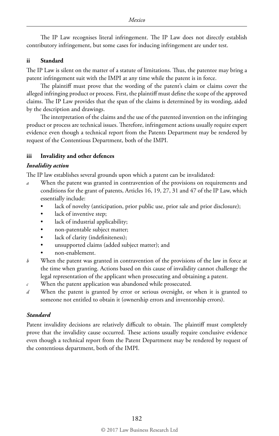The IP Law recognises literal infringement. The IP Law does not directly establish contributory infringement, but some cases for inducing infringement are under test.

# **ii Standard**

The IP Law is silent on the matter of a statute of limitations. Thus, the patentee may bring a patent infringement suit with the IMPI at any time while the patent is in force.

The plaintiff must prove that the wording of the patent's claim or claims cover the alleged infringing product or process. First, the plaintiff must define the scope of the approved claims. The IP Law provides that the span of the claims is determined by its wording, aided by the description and drawings.

The interpretation of the claims and the use of the patented invention on the infringing product or process are technical issues. Therefore, infringement actions usually require expert evidence even though a technical report from the Patents Department may be rendered by request of the Contentious Department, both of the IMPI.

# **iii Invalidity and other defences**

# *Invalidity action*

The IP law establishes several grounds upon which a patent can be invalidated:

- *a* When the patent was granted in contravention of the provisions on requirements and conditions for the grant of patents, Articles 16, 19, 27, 31 and 47 of the IP Law, which essentially include:
	- lack of novelty (anticipation, prior public use, prior sale and prior disclosure);
	- lack of inventive step;
	- lack of industrial applicability;
	- non-patentable subject matter;
	- lack of clarity (indefiniteness);
	- unsupported claims (added subject matter); and
	- non-enablement.
- *b* When the patent was granted in contravention of the provisions of the law in force at the time when granting. Actions based on this cause of invalidity cannot challenge the legal representation of the applicant when prosecuting and obtaining a patent.
- *c* When the patent application was abandoned while prosecuted.
- *d* When the patent is granted by error or serious oversight, or when it is granted to someone not entitled to obtain it (ownership errors and inventorship errors).

# *Standard*

Patent invalidity decisions are relatively difficult to obtain. The plaintiff must completely prove that the invalidity cause occurred. These actions usually require conclusive evidence even though a technical report from the Patent Department may be rendered by request of the contentious department, both of the IMPI.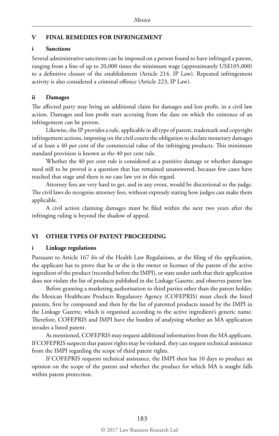## **V FINAL REMEDIES FOR INFRINGEMENT**

#### **i Sanctions**

Several administrative sanctions can be imposed on a person found to have infringed a patent, ranging from a fine of up to 20,000 times the minimum wage (approximately US\$105,000) to a definitive closure of the establishment (Article 214, IP Law). Repeated infringement activity is also considered a criminal offence (Article 223, IP Law).

#### **ii Damages**

The affected party may bring an additional claim for damages and lost profit, in a civil law action. Damages and lost profit start accruing from the date on which the existence of an infringement can be proven.

Likewise, the IP provides a rule, applicable in all type of patent, trademark and copyright infringement actions, imposing on the civil courts the obligation to declare monetary damages of at least a 40 per cent of the commercial value of the infringing products. This minimum standard provision is known as the 40 per cent rule.

Whether the 40 per cent rule is considered as a punitive damage or whether damages need still to be proved is a question that has remained unanswered, because few cases have reached that stage and there is no case law yet in this regard.

Attorney fees are very hard to get, and in any event, would be discretional to the judge. The civil laws do recognise attorney fees, without expressly stating how judges can make them applicable.

A civil action claiming damages must be filed within the next two years after the infringing ruling is beyond the shadow of appeal.

#### **VI OTHER TYPES OF PATENT PROCEEDING**

#### **i Linkage regulations**

Pursuant to Article 167 *bis* of the Health Law Regulations, at the filing of the application, the applicant has to prove that he or she is the owner or licensee of the patent of the active ingredient of the product (recorded before the IMPI), or state under oath that their application does not violate the list of products published in the Linkage Gazette, and observes patent law.

Before granting a marketing authorisation to third parties other than the patent holder, the Mexican Healthcare Products Regulatory Agency (COFEPRIS) must check the listed patents, first by compound and then by the list of patented products issued by the IMPI in the Linkage Gazette, which is organised according to the active ingredient's generic name. Therefore, COFEPRIS and IMPI have the burden of analysing whether an MA application invades a listed patent.

As mentioned, COFEPRIS may request additional information from the MA applicant. If COFEPRIS suspects that patent rights may be violated, they can request technical assistance from the IMPI regarding the scope of third patent rights.

If COFEPRIS requests technical assistance, the IMPI then has 10 days to produce an opinion on the scope of the patent and whether the product for which MA is sought falls within patent protection.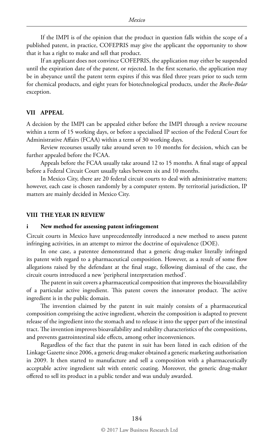If the IMPI is of the opinion that the product in question falls within the scope of a published patent, in practice, COFEPRIS may give the applicant the opportunity to show that it has a right to make and sell that product.

If an applicant does not convince COFEPRIS, the application may either be suspended until the expiration date of the patent, or rejected. In the first scenario, the application may be in abeyance until the patent term expires if this was filed three years prior to such term for chemical products, and eight years for biotechnological products, under the *Roche-Bolar*  exception.

### **VII APPEAL**

A decision by the IMPI can be appealed either before the IMPI through a review recourse within a term of 15 working days, or before a specialised IP section of the Federal Court for Administrative Affairs (FCAA) within a term of 30 working days.

Review recourses usually take around seven to 10 months for decision, which can be further appealed before the FCAA.

Appeals before the FCAA usually take around 12 to 15 months. A final stage of appeal before a Federal Circuit Court usually takes between six and 10 months.

In Mexico City, there are 20 federal circuit courts to deal with administrative matters; however, each case is chosen randomly by a computer system. By territorial jurisdiction, IP matters are mainly decided in Mexico City.

#### **VIII THE YEAR IN REVIEW**

#### **i New method for assessing patent infringement**

Circuit courts in Mexico have unprecedentedly introduced a new method to assess patent infringing activities, in an attempt to mirror the doctrine of equivalence (DOE).

In one case, a patentee demonstrated that a generic drug-maker literally infringed its patent with regard to a pharmaceutical composition. However, as a result of some flow allegations raised by the defendant at the final stage, following dismissal of the case, the circuit courts introduced a new 'peripheral interpretation method'.

The patent in suit covers a pharmaceutical composition that improves the bioavailability of a particular active ingredient. This patent covers the innovator product. The active ingredient is in the public domain.

The invention claimed by the patent in suit mainly consists of a pharmaceutical composition comprising the active ingredient, wherein the composition is adapted to prevent release of the ingredient into the stomach and to release it into the upper part of the intestinal tract. The invention improves bioavailability and stability characteristics of the compositions, and prevents gastrointestinal side effects, among other inconveniences.

Regardless of the fact that the patent in suit has been listed in each edition of the Linkage Gazette since 2006, a generic drug-maker obtained a generic marketing authorisation in 2009. It then started to manufacture and sell a composition with a pharmaceutically acceptable active ingredient salt with enteric coating. Moreover, the generic drug-maker offered to sell its product in a public tender and was unduly awarded.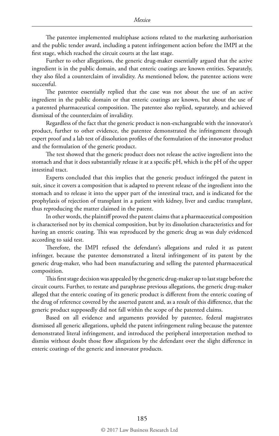The patentee implemented multiphase actions related to the marketing authorisation and the public tender award, including a patent infringement action before the IMPI at the first stage, which reached the circuit courts at the last stage.

Further to other allegations, the generic drug-maker essentially argued that the active ingredient is in the public domain, and that enteric coatings are known entities. Separately, they also filed a counterclaim of invalidity. As mentioned below, the patentee actions were successful.

The patentee essentially replied that the case was not about the use of an active ingredient in the public domain or that enteric coatings are known, but about the use of a patented pharmaceutical composition. The patentee also replied, separately, and achieved dismissal of the counterclaim of invalidity.

Regardless of the fact that the generic product is non-exchangeable with the innovator's product, further to other evidence, the patentee demonstrated the infringement through expert proof and a lab test of dissolution profiles of the formulation of the innovator product and the formulation of the generic product.

The test showed that the generic product does not release the active ingredient into the stomach and that it does substantially release it at a specific pH, which is the pH of the upper intestinal tract.

Experts concluded that this implies that the generic product infringed the patent in suit, since it covers a composition that is adapted to prevent release of the ingredient into the stomach and to release it into the upper part of the intestinal tract, and is indicated for the prophylaxis of rejection of transplant in a patient with kidney, liver and cardiac transplant, thus reproducing the matter claimed in the patent.

In other words, the plaintiff proved the patent claims that a pharmaceutical composition is characterised not by its chemical composition, but by its dissolution characteristics and for having an enteric coating. This was reproduced by the generic drug as was duly evidenced according to said test.

Therefore, the IMPI refused the defendant's allegations and ruled it as patent infringer, because the patentee demonstrated a literal infringement of its patent by the generic drug-maker, who had been manufacturing and selling the patented pharmaceutical composition.

This first stage decision was appealed by the generic drug-maker up to last stage before the circuit courts. Further, to restate and paraphrase previous allegations, the generic drug-maker alleged that the enteric coating of its generic product is different from the enteric coating of the drug of reference covered by the asserted patent and, as a result of this difference, that the generic product supposedly did not fall within the scope of the patented claims.

Based on all evidence and arguments provided by patentee, federal magistrates dismissed all generic allegations, upheld the patent infringement ruling because the patentee demonstrated literal infringement, and introduced the peripheral interpretation method to dismiss without doubt those flow allegations by the defendant over the slight difference in enteric coatings of the generic and innovator products.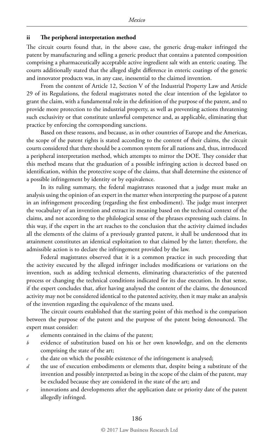#### **ii The peripheral interpretation method**

The circuit courts found that, in the above case, the generic drug-maker infringed the patent by manufacturing and selling a generic product that contains a patented composition comprising a pharmaceutically acceptable active ingredient salt with an enteric coating. The courts additionally stated that the alleged slight difference in enteric coatings of the generic and innovator products was, in any case, inessential to the claimed invention.

From the content of Article 12, Section V of the Industrial Property Law and Article 29 of its Regulations, the federal magistrates noted the clear intention of the legislator to grant the claim, with a fundamental role in the definition of the purpose of the patent, and to provide more protection to the industrial property, as well as preventing actions threatening such exclusivity or that constitute unlawful competence and, as applicable, eliminating that practice by enforcing the corresponding sanctions.

Based on these reasons, and because, as in other countries of Europe and the Americas, the scope of the patent rights is stated according to the content of their claims, the circuit courts considered that there should be a common system for all nations and, thus, introduced a peripheral interpretation method, which attempts to mirror the DOE. They consider that this method means that the graduation of a possible infringing action is decreed based on identification, within the protective scope of the claims, that shall determine the existence of a possible infringement by identity or by equivalence.

In its ruling summary, the federal magistrates reasoned that a judge must make an analysis using the opinion of an expert in the matter when interpreting the purpose of a patent in an infringement proceeding (regarding the first embodiment). The judge must interpret the vocabulary of an invention and extract its meaning based on the technical context of the claims, and not according to the philological sense of the phrases expressing such claims. In this way, if the expert in the art reaches to the conclusion that the activity claimed includes all the elements of the claims of a previously granted patent, it shall be understood that its attainment constitutes an identical exploitation to that claimed by the latter; therefore, the admissible action is to declare the infringement provided by the law.

Federal magistrates observed that it is a common practice in such proceeding that the activity executed by the alleged infringer includes modifications or variations on the invention, such as adding technical elements, eliminating characteristics of the patented process or changing the technical conditions indicated for its due execution. In that sense, if the expert concludes that, after having analysed the content of the claims, the denounced activity may not be considered identical to the patented activity, then it may make an analysis of the invention regarding the equivalence of the means used.

The circuit courts established that the starting point of this method is the comparison between the purpose of the patent and the purpose of the patent being denounced. The expert must consider:

- *a* elements contained in the claims of the patent;
- *b* evidence of substitution based on his or her own knowledge, and on the elements comprising the state of the art;
- *c* the date on which the possible existence of the infringement is analysed;
- *d* the use of execution embodiments or elements that, despite being a substitute of the invention and possibly interpreted as being in the scope of the claim of the patent, may be excluded because they are considered in the state of the art; and
- *e* innovations and developments after the application date or priority date of the patent allegedly infringed.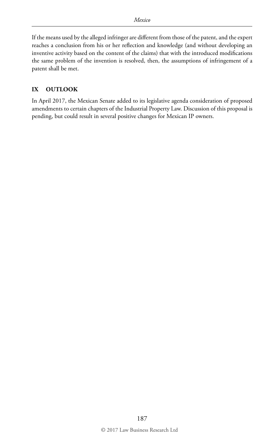If the means used by the alleged infringer are different from those of the patent, and the expert reaches a conclusion from his or her reflection and knowledge (and without developing an inventive activity based on the content of the claims) that with the introduced modifications the same problem of the invention is resolved, then, the assumptions of infringement of a patent shall be met.

# **IX OUTLOOK**

In April 2017, the Mexican Senate added to its legislative agenda consideration of proposed amendments to certain chapters of the Industrial Property Law. Discussion of this proposal is pending, but could result in several positive changes for Mexican IP owners.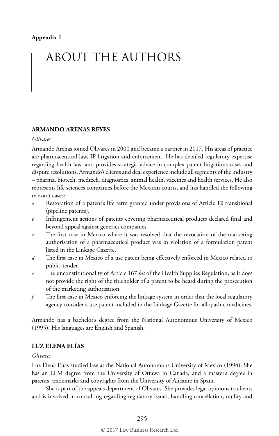# ABOUT THE AUTHORS

# **ARMANDO ARENAS REYES**

#### *Olivares*

Armando Arenas joined Olivares in 2000 and became a partner in 2017. His areas of practice are pharmaceutical law, IP litigation and enforcement. He has detailed regulatory expertise regarding health law, and provides strategic advice in complex patent litigations cases and dispute resolutions. Armando's clients and deal experience include all segments of the industry – pharma, biotech, medtech, diagnostics, animal health, vaccines and health services. He also represents life sciences companies before the Mexican courts, and has handled the following relevant cases:

- *a* Restoration of a patent's life term granted under provisions of Article 12 transitional (pipeline patents).
- *b* Infringement actions of patents covering pharmaceutical products declared final and beyond appeal against generics companies.
- *c* The first case in Mexico where it was resolved that the revocation of the marketing authorisation of a pharmaceutical product was in violation of a formulation patent listed in the Linkage Gazette.
- *d* The first case in Mexico of a use patent being effectively enforced in Mexico related to public tender.
- *e* The unconstitutionality of Article 167 *bis* of the Health Supplies Regulation, as it does not provide the right of the titleholder of a patent to be heard during the prosecution of the marketing authorisation.
- *f* The first case in Mexico enforcing the linkage system in order that the local regulatory agency consider a use patent included in the Linkage Gazette for allopathic medicines.

Armando has a bachelor's degree from the National Autonomous University of Mexico (1995). His languages are English and Spanish.

# **LUZ ELENA ELÍAS**

#### *Olivares*

Luz Elena Elías studied law at the National Autonomous University of Mexico (1994). She has an LLM degree from the University of Ottawa in Canada, and a master's degree in patents, trademarks and copyrights from the University of Alicante in Spain.

She is part of the appeals department of Olivares. She provides legal opinions to clients and is involved in consulting regarding regulatory issues, handling cancellation, nullity and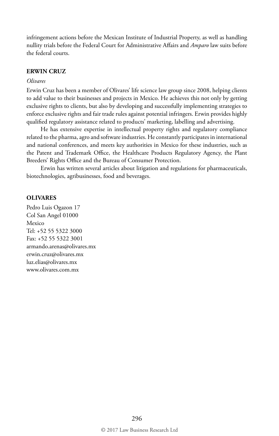infringement actions before the Mexican Institute of Industrial Property, as well as handling nullity trials before the Federal Court for Administrative Affairs and *Amparo* law suits before the federal courts.

#### **ERWIN CRUZ**

# *Olivares*

Erwin Cruz has been a member of Olivares' life science law group since 2008, helping clients to add value to their businesses and projects in Mexico. He achieves this not only by getting exclusive rights to clients, but also by developing and successfully implementing strategies to enforce exclusive rights and fair trade rules against potential infringers. Erwin provides highly qualified regulatory assistance related to products' marketing, labelling and advertising.

He has extensive expertise in intellectual property rights and regulatory compliance related to the pharma, agro and software industries. He constantly participates in international and national conferences, and meets key authorities in Mexico for these industries, such as the Patent and Trademark Office, the Healthcare Products Regulatory Agency, the Plant Breeders' Rights Office and the Bureau of Consumer Protection.

Erwin has written several articles about litigation and regulations for pharmaceuticals, biotechnologies, agribusinesses, food and beverages.

#### **OLIVARES**

Pedro Luis Ogazon 17 Col San Angel 01000 Mexico Tel: +52 55 5322 3000 Fax: +52 55 5322 3001 armando.arenas@olivares.mx erwin.cruz@olivares.mx luz.elias@olivares.mx www.olivares.com.mx